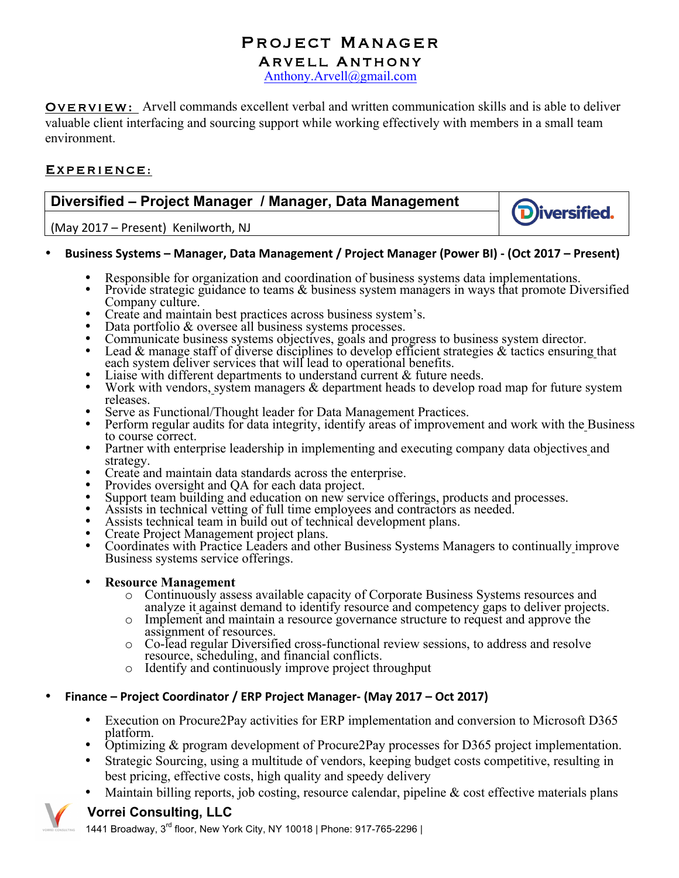# **PROJECT MANAGER<br>ARVELL ANTHONY**<br>Anthony.Arvell@gmail.com

**OVERVIEW:** Arvell commands excellent verbal and written communication skills and is able to deliver valuable client interfacing and sourcing support while working effectively with members in a small team environment.

#### Experience:

### **Diversified – Project Manager / Manager, Data Management**

(May 2017 – Present) Kenilworth, NJ

#### • **Business Systems – Manager, Data Management / Project Manager (Power BI) - (Oct 2017 – Present)**

- 
- Responsible for organization and coordination of business systems data implementations.<br>• Provide strategic guidance to teams & business system managers in ways that promote Diversified Company culture.<br>Create and maintain best practices across business system's.

**D**iversified.

- 
- 
- 
- Create and maintain best practices across business system's.<br>• Data portfolio & oversee all business systems processes.<br>• Communicate business systems objectives, goals and progress to business system director.<br>• Lead & Each system deliver services that will lead to operational benefits.<br>Liaise with different departments to understand current & future needs.
- 
- Work with vendors, system managers & department heads to develop road map for future system releases. Serve as Functional/Thought leader for Data Management Practices.
- 
- Serve as Functional/Thought leader for Data Management Practices.<br>• Perform regular audits for data integrity, identify areas of improvement and work with the Business to course correct.
- Partner with enterprise leadership in implementing and executing company data objectives and strategy.<br>Create and maintain data standards across the enterprise.
- 
- 
- Create and maintain data standards across the enterprise.<br>
Provides oversight and QA for each data project.<br>
Support team building and education on new service offerings, products and processes.<br>
Assists in technic
- 
- 
- 
- Business systems service offerings.

#### • **Resource Management**

- o Continuously assess available capacity of Corporate Business Systems resources and analyze it against demand to identify resource and competency gaps to deliver projects.
- o Implement and maintain a resource governance structure to request and approve the assignment of resources.
- o Co-lead regular Diversified cross-functional review sessions, to address and resolve resource, scheduling, and financial conflicts.
- o Identify and continuously improve project throughput

#### • **Finance – Project Coordinator / ERP Project Manager- (May 2017 – Oct 2017)**

- Execution on Procure2Pay activities for ERP implementation and conversion to Microsoft D365 platform.
- Optimizing & program development of Procure2Pay processes for D365 project implementation.
- Strategic Sourcing, using a multitude of vendors, keeping budget costs competitive, resulting in best pricing, effective costs, high quality and speedy delivery
- Maintain billing reports, job costing, resource calendar, pipeline  $\&$  cost effective materials plans



#### **Vorrei Consulting, LLC**

1441 Broadway, 3<sup>rd</sup> floor, New York City, NY 10018 | Phone: 917-765-2296 |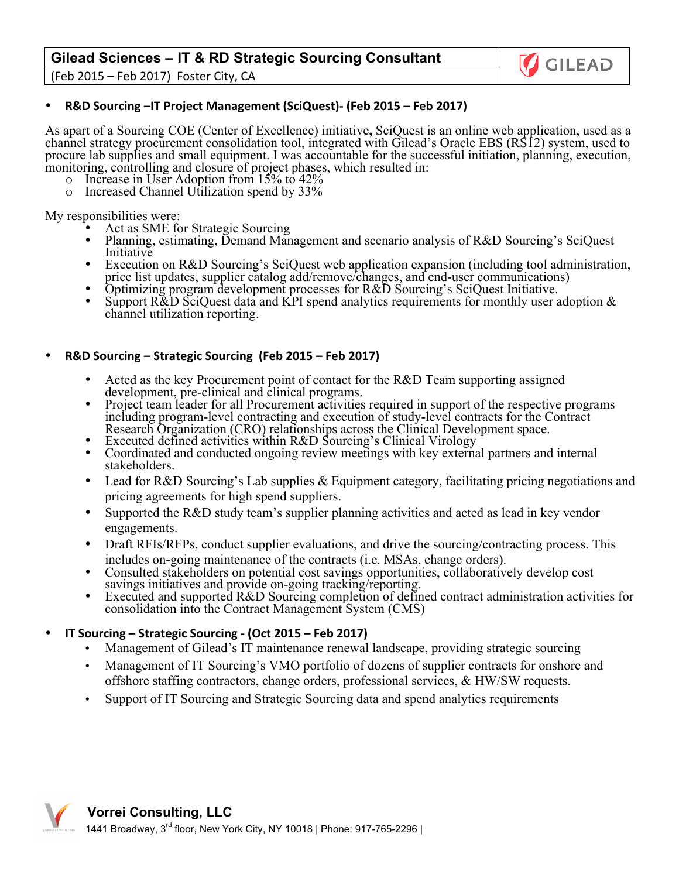#### **Gilead Sciences – IT & RD Strategic Sourcing Consultant**





As apart of a Sourcing COE (Center of Excellence) initiative**,** SciQuest is an online web application, used as a channel strategy procurement consolidation tool, integrated with Gilead's Oracle EBS (RS12) system, used to procure lab supplies and small equipment. I was accountable for the successful initiation, planning, execution, monitoring, controlling and closure of project phases, which resulted in:

GILEAD

- o Increase in User Adoption from 15% to 42%
- o Increased Channel Utilization spend by 33%

- My responsibilities were:<br>• Act as SME for Strategic Sourcing
	- Planning, estimating, Demand Management and scenario analysis of R&D Sourcing's SciQuest Initiative
	- Execution on R&D Sourcing's SciQuest web application expansion (including tool administration, price list updates, supplier catalog add/remove/changes, and end-user communications)
	-
	- Optimizing program development processes for R&D Sourcing's SciQuest Initiative.<br>• Support R&D SciQuest data and KPI spend analytics requirements for monthly user adoption & channel utilization reporting.

#### • **R&D Sourcing – Strategic Sourcing (Feb 2015 – Feb 2017)**

- Acted as the key Procurement point of contact for the R&D Team supporting assigned development, pre-clinical and clinical programs.
- Project team leader for all Procurement activities required in support of the respective programs including program-level contracting and execution of study-level contracts for the Contract Research Organization (CRO) relationships across the Clinical Development space.<br>Executed defined activities within R&D Sourcing's Clinical Virology
- 
- Coordinated and conducted ongoing review meetings with key external partners and internal stakeholders.
- Lead for R&D Sourcing's Lab supplies & Equipment category, facilitating pricing negotiations and pricing agreements for high spend suppliers.
- Supported the R&D study team's supplier planning activities and acted as lead in key vendor engagements.
- Draft RFIs/RFPs, conduct supplier evaluations, and drive the sourcing/contracting process. This
- includes on-going maintenance of the contracts (i.e. MSAs, change orders). • Consulted stakeholders on potential cost savings opportunities, collaboratively develop cost savings initiatives and provide on-going tracking/reporting.
- Executed and supported R&D Sourcing completion of defined contract administration activities for consolidation into the Contract Management System (CMS)
- **IT Sourcing – Strategic Sourcing - (Oct 2015 – Feb 2017)**
	- Management of Gilead's IT maintenance renewal landscape, providing strategic sourcing
	- Management of IT Sourcing's VMO portfolio of dozens of supplier contracts for onshore and offshore staffing contractors, change orders, professional services, & HW/SW requests.
	- Support of IT Sourcing and Strategic Sourcing data and spend analytics requirements